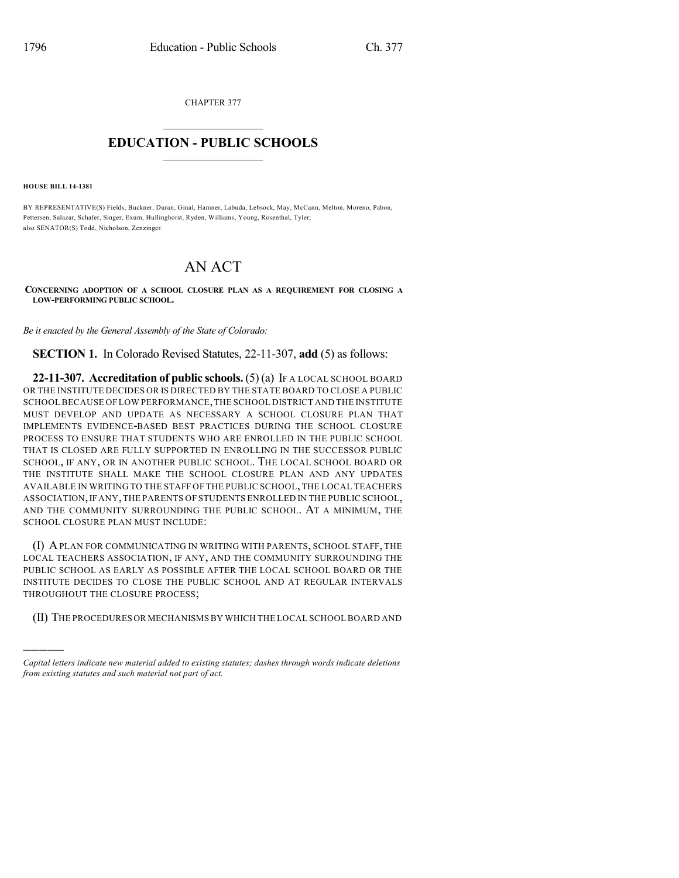CHAPTER 377

## $\overline{\phantom{a}}$  . The set of the set of the set of the set of the set of the set of the set of the set of the set of the set of the set of the set of the set of the set of the set of the set of the set of the set of the set o **EDUCATION - PUBLIC SCHOOLS**  $\_$   $\_$   $\_$   $\_$   $\_$   $\_$   $\_$   $\_$   $\_$

**HOUSE BILL 14-1381**

)))))

BY REPRESENTATIVE(S) Fields, Buckner, Duran, Ginal, Hamner, Labuda, Lebsock, May, McCann, Melton, Moreno, Pabon, Pettersen, Salazar, Schafer, Singer, Exum, Hullinghorst, Ryden, Williams, Young, Rosenthal, Tyler; also SENATOR(S) Todd, Nicholson, Zenzinger.

## AN ACT

**CONCERNING ADOPTION OF A SCHOOL CLOSURE PLAN AS A REQUIREMENT FOR CLOSING A LOW-PERFORMING PUBLIC SCHOOL.**

*Be it enacted by the General Assembly of the State of Colorado:*

**SECTION 1.** In Colorado Revised Statutes, 22-11-307, **add** (5) as follows:

**22-11-307. Accreditation of public schools.** (5) (a) IF A LOCAL SCHOOL BOARD OR THE INSTITUTE DECIDES OR IS DIRECTED BY THE STATE BOARD TO CLOSE A PUBLIC SCHOOL BECAUSE OF LOW PERFORMANCE,THE SCHOOL DISTRICT AND THE INSTITUTE MUST DEVELOP AND UPDATE AS NECESSARY A SCHOOL CLOSURE PLAN THAT IMPLEMENTS EVIDENCE-BASED BEST PRACTICES DURING THE SCHOOL CLOSURE PROCESS TO ENSURE THAT STUDENTS WHO ARE ENROLLED IN THE PUBLIC SCHOOL THAT IS CLOSED ARE FULLY SUPPORTED IN ENROLLING IN THE SUCCESSOR PUBLIC SCHOOL, IF ANY, OR IN ANOTHER PUBLIC SCHOOL. THE LOCAL SCHOOL BOARD OR THE INSTITUTE SHALL MAKE THE SCHOOL CLOSURE PLAN AND ANY UPDATES AVAILABLE IN WRITING TO THE STAFF OF THE PUBLIC SCHOOL, THE LOCAL TEACHERS ASSOCIATION,IF ANY,THE PARENTS OF STUDENTS ENROLLED IN THE PUBLIC SCHOOL, AND THE COMMUNITY SURROUNDING THE PUBLIC SCHOOL. AT A MINIMUM, THE SCHOOL CLOSURE PLAN MUST INCLUDE:

(I) APLAN FOR COMMUNICATING IN WRITING WITH PARENTS, SCHOOL STAFF, THE LOCAL TEACHERS ASSOCIATION, IF ANY, AND THE COMMUNITY SURROUNDING THE PUBLIC SCHOOL AS EARLY AS POSSIBLE AFTER THE LOCAL SCHOOL BOARD OR THE INSTITUTE DECIDES TO CLOSE THE PUBLIC SCHOOL AND AT REGULAR INTERVALS THROUGHOUT THE CLOSURE PROCESS;

(II) THE PROCEDURES OR MECHANISMS BY WHICH THE LOCAL SCHOOL BOARD AND

*Capital letters indicate new material added to existing statutes; dashes through words indicate deletions from existing statutes and such material not part of act.*